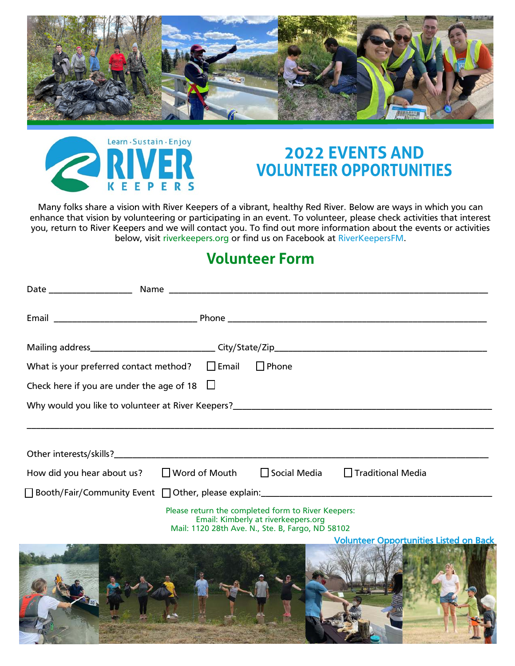



## **2022 EVENTS AND<br>VOLUNTEER OPPORTUNITIES**

Many folks share a vision with River Keepers of a vibrant, healthy Red River. Below are ways in which you can enhance that vision by volunteering or participating in an event. To volunteer, please check activities that interest you, return to River Keepers and we will contact you. To find out more information about the events or activities below, visit riverkeepers.org or find us on Facebook at RiverKeepersFM.

## **Volunteer Form**

| $\Box$ Phone<br>What is your preferred contact method? $\Box$ Email                                                                           |
|-----------------------------------------------------------------------------------------------------------------------------------------------|
| Check here if you are under the age of 18 $\Box$                                                                                              |
|                                                                                                                                               |
| How did you hear about us? $\Box$ Word of Mouth<br>$\Box$ Social Media $\Box$ Traditional Media                                               |
| Please return the completed form to River Keepers:<br>Email: Kimberly at riverkeepers.org<br>Mail: 1120 28th Ave. N., Ste. B, Fargo, ND 58102 |
| <b>Volunteer Opportunities Listed on Back</b>                                                                                                 |